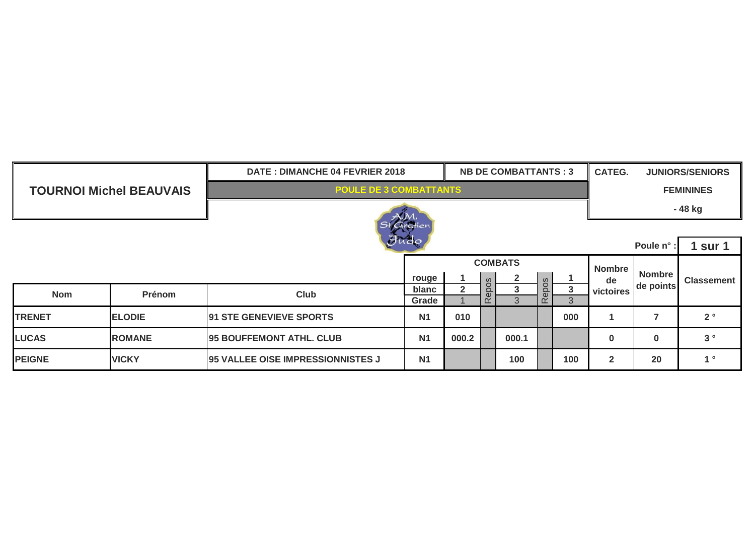|               |                                | <b>NB DE COMBATTANTS: 3</b><br>DATE: DIMANCHE 04 FEVRIER 2018 |                    |                  |          |              |                                         |     |                | <b>CATEG.</b><br><b>JUNIORS/SENIORS</b> |                   |
|---------------|--------------------------------|---------------------------------------------------------------|--------------------|------------------|----------|--------------|-----------------------------------------|-----|----------------|-----------------------------------------|-------------------|
|               | <b>TOURNOI Michel BEAUVAIS</b> | <b>POULE DE 3 COMBATTANTS</b>                                 |                    | <b>FEMININES</b> |          |              |                                         |     |                |                                         |                   |
|               |                                |                                                               |                    | - 48 kg          |          |              |                                         |     |                |                                         |                   |
|               |                                |                                                               | St Gratien<br>Fudo |                  |          |              |                                         |     |                |                                         |                   |
|               |                                | Poule n°                                                      | 1 sur 1            |                  |          |              |                                         |     |                |                                         |                   |
|               |                                |                                                               | <b>Nombre</b>      |                  |          |              |                                         |     |                |                                         |                   |
|               |                                |                                                               | rouge              |                  | S        | $\mathbf{2}$ | $\omega$                                |     | de             | <b>Nombre</b><br>de points              | <b>Classement</b> |
| <b>Nom</b>    | Prénom                         | <b>Club</b>                                                   | blanc              | $\overline{2}$   | epo      | 3            | $\mathbf C$<br>$\Omega$<br>$\mathbf{d}$ | 3   | victoires      |                                         |                   |
|               |                                |                                                               | Grade              |                  | $\alpha$ | 3            | $\alpha$                                | 3   |                |                                         |                   |
| <b>TRENET</b> | <b>ELODIE</b>                  | <b>91 STE GENEVIEVE SPORTS</b>                                | <b>N1</b>          | 010              |          |              |                                         | 000 |                | 7                                       | $2^{\circ}$       |
| <b>LUCAS</b>  | <b>ROMANE</b>                  | <b>95 BOUFFEMONT ATHL. CLUB</b>                               | N <sub>1</sub>     | 000.2            |          | 000.1        |                                         |     | 0              | 0                                       | 3°                |
| <b>PEIGNE</b> | <b>VICKY</b>                   | <b>95 VALLEE OISE IMPRESSIONNISTES J</b>                      | <b>N1</b>          |                  |          | 100          |                                         | 100 | $\overline{2}$ | 20                                      | 1 <sup>°</sup>    |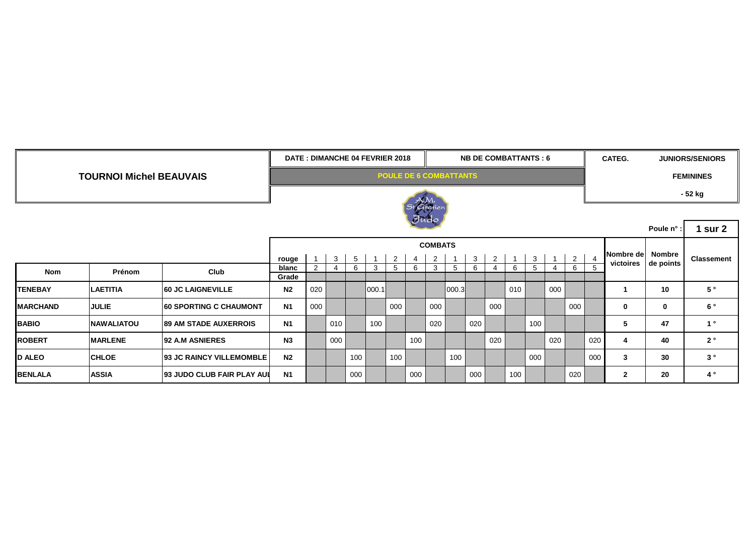|                                |                   |                                   |                               | DATE: DIMANCHE 04 FEVRIER 2018<br><b>NB DE COMBATTANTS: 6</b> |              |                 |       |     |         |     |       |     |     |     | CATEG.         |     | <b>JUNIORS/SENIORS</b> |                |                               |           |                   |
|--------------------------------|-------------------|-----------------------------------|-------------------------------|---------------------------------------------------------------|--------------|-----------------|-------|-----|---------|-----|-------|-----|-----|-----|----------------|-----|------------------------|----------------|-------------------------------|-----------|-------------------|
| <b>TOURNOI Michel BEAUVAIS</b> |                   |                                   | <b>POULE DE 6 COMBATTANTS</b> |                                                               |              |                 |       |     |         |     |       |     |     |     |                |     | <b>FEMININES</b>       |                |                               |           |                   |
|                                |                   |                                   |                               | St Gratien                                                    |              |                 |       |     |         |     |       |     |     |     |                |     |                        | - 52 kg        |                               |           |                   |
|                                |                   |                                   |                               |                                                               |              |                 |       |     | $J$ udo |     |       |     |     |     |                |     |                        |                |                               |           |                   |
|                                |                   |                                   |                               |                                                               |              |                 |       |     |         |     |       |     |     |     |                |     |                        |                | Poule n°                      | 1 sur $2$ |                   |
|                                |                   | <b>COMBATS</b>                    |                               |                                                               |              |                 |       |     |         |     |       |     |     |     |                |     |                        |                |                               |           |                   |
|                                |                   |                                   | rouge                         | $-1$                                                          | $\mathbf{3}$ | $5\overline{5}$ |       | 2   | 4       | 2   |       | 3   | 2   |     | 3 <sup>1</sup> |     | $\overline{2}$         | $\overline{4}$ | Nombre de Nombre<br>victoires | de points | <b>Classement</b> |
| <b>Nom</b>                     | Prénom            | Club                              | blanc<br>Grade                | 2                                                             | 4            | 6               | 3     | 5   | 6       | 3   | 5     | 6   | 4   | 6   | 5 <sup>5</sup> |     | 6                      |                |                               |           |                   |
| <b>TENEBAY</b>                 | <b>LAETITIA</b>   | <b>60 JC LAIGNEVILLE</b>          | N <sub>2</sub>                | 020                                                           |              |                 | 000.1 |     |         |     | 000.3 |     |     | 010 |                | 000 |                        |                |                               | 10        | 5°                |
| <b>MARCHAND</b>                | <b>JULIE</b>      | <b>60 SPORTING C CHAUMONT</b>     | <b>N1</b>                     | 000                                                           |              |                 |       | 000 |         | 000 |       |     | 000 |     |                |     | 000                    |                | 0                             | 0         | 6°                |
| <b>BABIO</b>                   | <b>NAWALIATOU</b> | <b>89 AM STADE AUXERROIS</b>      | N <sub>1</sub>                |                                                               | 010          |                 | 100   |     |         | 020 |       | 020 |     |     | 100            |     |                        |                | 5                             | 47        | 1 <sup>°</sup>    |
| <b>ROBERT</b>                  | <b>MARLENE</b>    | <b>92 A.M ASNIERES</b>            | N3                            |                                                               | 000          |                 |       |     | 100     |     |       |     | 020 |     |                | 020 |                        | 020            | 4                             | 40        | $2^{\circ}$       |
| <b>D ALEO</b>                  | <b>CHLOE</b>      | <b>93 JC RAINCY VILLEMOMBLE</b>   | N <sub>2</sub>                |                                                               |              | 100             |       | 100 |         |     | 100   |     |     |     | 000            |     |                        | 000            | 3                             | 30        | 3 <sup>°</sup>    |
| <b>BENLALA</b>                 | <b>ASSIA</b>      | <b>93 JUDO CLUB FAIR PLAY AUL</b> | N <sub>1</sub>                |                                                               |              | 000             |       |     | 000     |     |       | 000 |     | 100 |                |     | 020                    |                | $\mathbf{2}$                  | 20        | $4^{\circ}$       |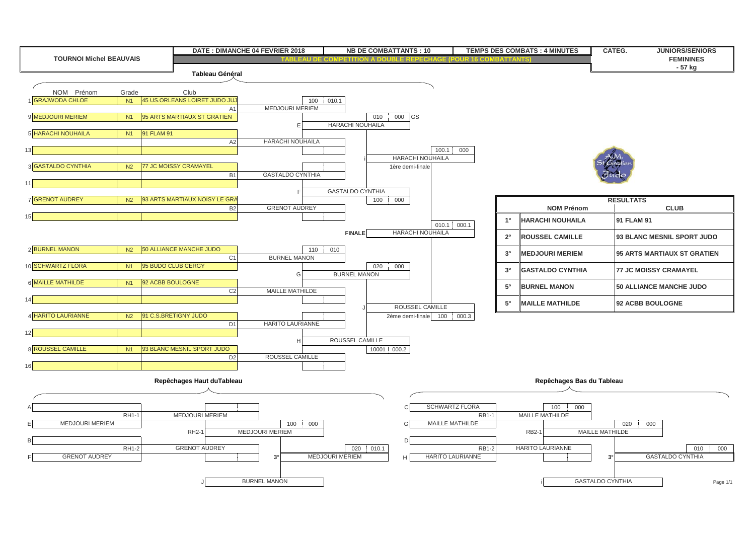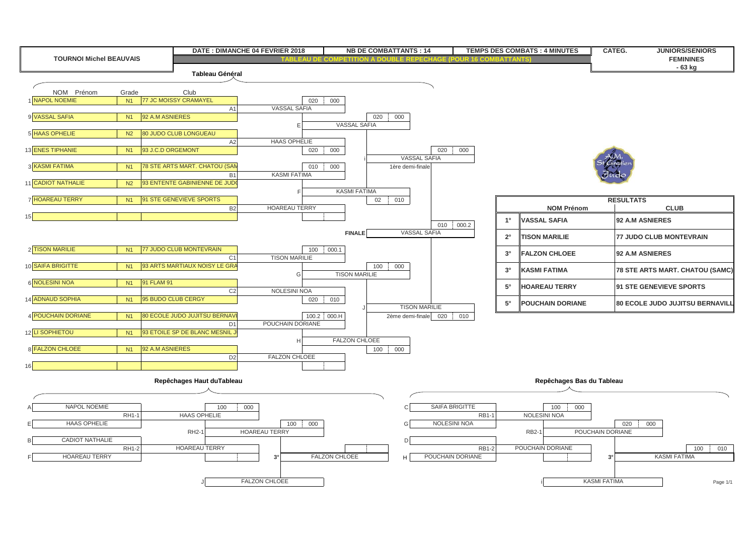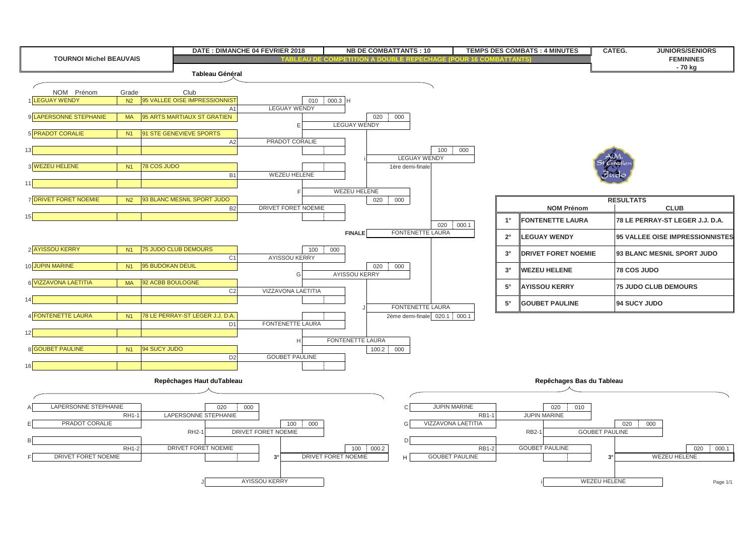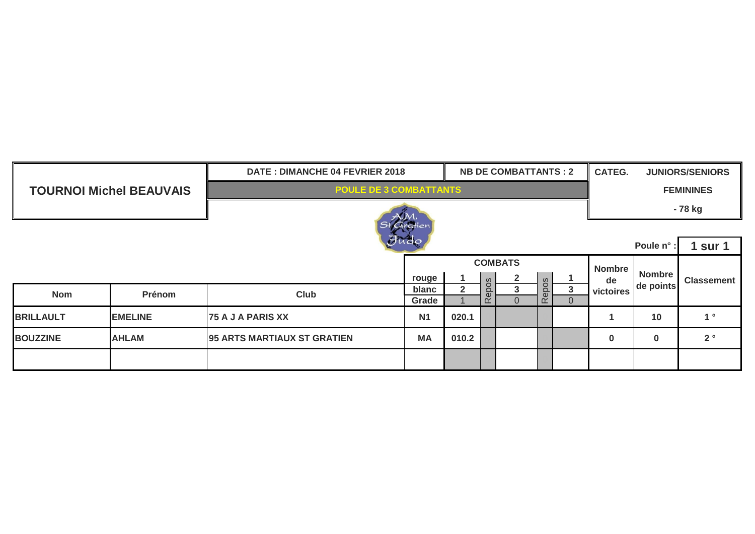|                  |                                | <b>NB DE COMBATTANTS : 2</b><br>DATE: DIMANCHE 04 FEVRIER 2018 |           |                  |                                      |                |                     |          |           | <b>CATEG.</b><br><b>JUNIORS/SENIORS</b> |                   |  |
|------------------|--------------------------------|----------------------------------------------------------------|-----------|------------------|--------------------------------------|----------------|---------------------|----------|-----------|-----------------------------------------|-------------------|--|
|                  | <b>TOURNOI Michel BEAUVAIS</b> | <b>POULE DE 3 COMBATTANTS</b>                                  |           | <b>FEMININES</b> |                                      |                |                     |          |           |                                         |                   |  |
|                  |                                |                                                                | - 78 kg   |                  |                                      |                |                     |          |           |                                         |                   |  |
|                  |                                |                                                                | Gratien   |                  |                                      |                |                     |          |           |                                         |                   |  |
| JUGO             |                                |                                                                |           |                  |                                      |                |                     |          |           |                                         | <b>1 sur 1</b>    |  |
|                  |                                |                                                                |           | <b>Nombre</b>    |                                      |                |                     |          |           |                                         |                   |  |
|                  |                                |                                                                | rouge     |                  | $\overline{2}$<br>ທ<br><u>s</u><br>3 |                | $\infty$            |          | de        | Nombre<br>de points                     | <b>Classement</b> |  |
| <b>Nom</b>       | Prénom                         | Club                                                           | blanc     | $\overline{2}$   |                                      |                | C<br>$\Omega$<br>d: | 3        | victoires |                                         |                   |  |
|                  |                                |                                                                | Grade     |                  | $\alpha$                             | $\overline{0}$ | $\alpha$            | $\Omega$ |           |                                         |                   |  |
| <b>BRILLAULT</b> | <b>EMELINE</b>                 | <b>75 A J A PARIS XX</b>                                       | <b>N1</b> | 020.1            |                                      |                |                     |          |           | 10                                      | 1 <sup>°</sup>    |  |
| <b>BOUZZINE</b>  | <b>AHLAM</b>                   | <b>95 ARTS MARTIAUX ST GRATIEN</b>                             | <b>MA</b> | 010.2            |                                      |                |                     |          | $\bf{0}$  | $\bf{0}$                                | 2 <sup>°</sup>    |  |
|                  |                                |                                                                |           |                  |                                      |                |                     |          |           |                                         |                   |  |